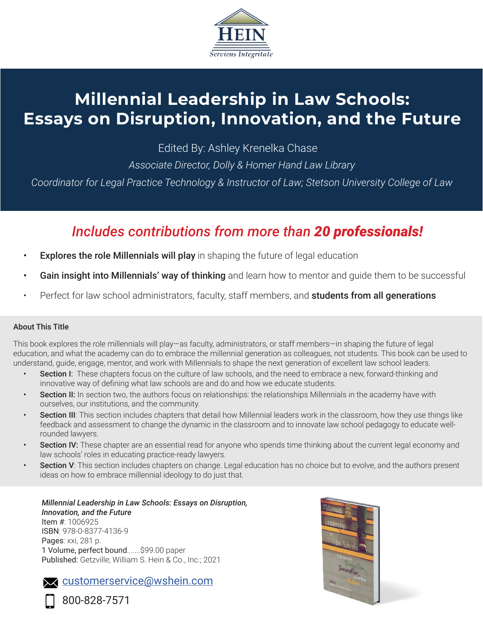

# **Millennial Leadership in Law Schools: Essays on Disruption, Innovation, and the Future**

Edited By: Ashley Krenelka Chase

*Associate Director, Dolly & Homer Hand Law Library*

*Coordinator for Legal Practice Technology & Instructor of Law; Stetson University College of Law*

## *Includes contributions from more than 20 professionals!*

- **Explores the role Millennials will play** in shaping the future of legal education
- Gain insight into Millennials' way of thinking and learn how to mentor and quide them to be successful
- Perfect for law school administrators, faculty, staff members, and **students from all generations**

## About This Title

This book explores the role millennials will play—as faculty, administrators, or staff members—in shaping the future of legal education, and what the academy can do to embrace the millennial generation as colleagues, not students. This book can be used to understand, guide, engage, mentor, and work with Millennials to shape the next generation of excellent law school leaders.

- **Section I:** These chapters focus on the culture of law schools, and the need to embrace a new, forward-thinking and innovative way of defining what law schools are and do and how we educate students.
- Section II: In section two, the authors focus on relationships: the relationships Millennials in the academy have with ourselves, our institutions, and the community.
- Section III: This section includes chapters that detail how Millennial leaders work in the classroom, how they use things like feedback and assessment to change the dynamic in the classroom and to innovate law school pedagogy to educate wellrounded lawyers.
- Section IV: These chapter are an essential read for anyone who spends time thinking about the current legal economy and law schools' roles in educating practice-ready lawyers.
- Section V: This section includes chapters on change. Legal education has no choice but to evolve, and the authors present ideas on how to embrace millennial ideology to do just that.

#### *Millennial Leadership in Law Schools: Essays on Disruption, Innovation, and the Future* Item #: 1006925 ISBN: 978-0-8377-4136-9 Pages: xxi, 281 p. 1 Volume, perfect bound.......\$99.00 paper Published: Getzville; William S. Hein & Co., Inc.; 2021





800-828-7571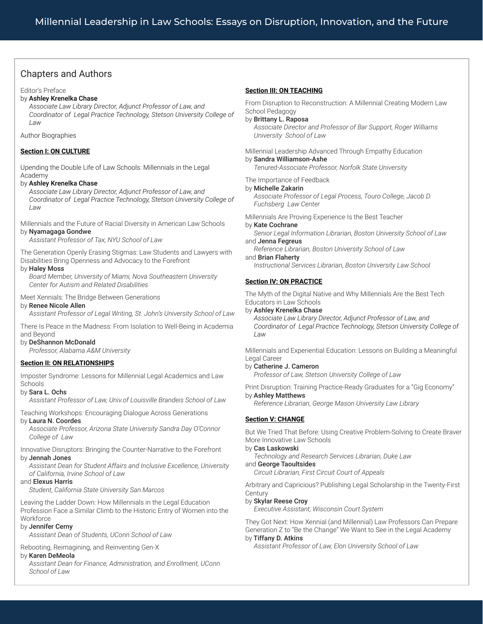## Chapters and Authors

Editor's Preface

#### by Ashley Krenelka Chase

*Associate Law Library Director, Adjunct Professor of Law, and Coordinator of Legal Practice Technology, Stetson University College of Law* 

Author Biographies

#### **Section I: ON CULTURE**

Upending the Double Life of Law Schools: Millennials in the Legal Academy

#### by Ashley Krenelka Chase

*Associate Law Library Director, Adjunct Professor of Law, and Coordinator of Legal Practice Technology, Stetson University College of Law*

Millennials and the Future of Racial Diversity in American Law Schools by Nyamagaga Gondwe

*Assistant Professor of Tax, NYU School of Law*

The Generation Openly Erasing Stigmas: Law Students and Lawyers with Disabilities Bring Openness and Advocacy to the Forefront

#### by Haley Moss

*Board Member, University of Miami, Nova Southeastern University Center for Autism and Related Disabilities*

#### Meet Xennials: The Bridge Between Generations

#### by Renee Nicole Allen

*Assistant Professor of Legal Writing, St. John's University School of Law*

There Is Peace in the Madness: From Isolation to Well-Being in Academia and Beyond

#### by DeShannon McDonald

*Professor, Alabama A&M University*

#### **Section II: ON RELATIONSHIPS**

Imposter Syndrome: Lessons for Millennial Legal Academics and Law Schools

#### by Sara L. Ochs

*Assistant Professor of Law, Univ.of Louisville Brandeis School of Law*

Teaching Workshops: Encouraging Dialogue Across Generations

#### by Laura N. Coordes

*Associate Professor, Arizona State University Sandra Day O'Connor College of Law*

Innovative Disruptors: Bringing the Counter-Narrative to the Forefront by Jennah Jones

*Assistant Dean for Student Affairs and Inclusive Excellence, University of California, Irvine School of Law* 

#### and Elexus Harris

*Student, California State University San Marcos*

Leaving the Ladder Down: How Millennials in the Legal Education Profession Face a Similar Climb to the Historic Entry of Women into the **Workforce** 

### by Jennifer Cerny

*Assistant Dean of Students, UConn School of Law*

#### Rebooting, Reimagining, and Reinventing Gen-X

#### by Karen DeMeola

*Assistant Dean for Finance, Administration, and Enrollment, UConn School of Law*

#### **Section III: ON TEACHING**

From Disruption to Reconstruction: A Millennial Creating Modern Law School Pedagogy

#### by Brittany L. Raposa

*Associate Director and Professor of Bar Support, Roger Williams University School of Law*

Millennial Leadership Advanced Through Empathy Education by Sandra Williamson-Ashe

*Tenured-Associate Professor, Norfolk State University*

#### The Importance of Feedback

by Michelle Zakarin *Associate Professor of Legal Process, Touro College, Jacob D.* 

*Fuchsberg Law Center*

Millennials Are Proving Experience Is the Best Teacher

#### by Kate Cochrane

*Senior Legal Information Librarian, Boston University School of Law* and Jenna Fegreus

*Reference Librarian, Boston University School of Law* and Brian Flaherty

*Instructional Services Librarian, Boston University Law School*

#### **Section IV: ON PRACTICE**

The Myth of the Digital Native and Why Millennials Are the Best Tech Educators in Law Schools

#### by Ashley Krenelka Chase

*Associate Law Library Director, Adjunct Professor of Law, and Coordinator of Legal Practice Technology, Stetson University College of Law*

Millennials and Experiential Education: Lessons on Building a Meaningful Legal Career

#### by Catherine J. Cameron

*Professor of Law, Stetson University College of Law*

Print Disruption: Training Practice-Ready Graduates for a "Gig Economy"

#### by Ashley Matthews

*Reference Librarian, George Mason University Law Library*

#### **Section V: CHANGE**

But We Tried That Before: Using Creative Problem-Solving to Create Braver More Innovative Law Schools

#### by Cas Laskowski

*Technology and Research Services Librarian, Duke Law*

and George Taoultsides *Circuit Librarian, First Circuit Court of Appeals*

Arbitrary and Capricious? Publishing Legal Scholarship in the Twenty-First **Century** 

#### by Skylar Reese Croy

*Executive Assistant, Wisconsin Court System*

They Got Next: How Xennial (and Millennial) Law Professors Can Prepare Generation Z to "Be the Change" We Want to See in the Legal Academy

#### by Tiffany D. Atkins

*Assistant Professor of Law, Elon University School of Law*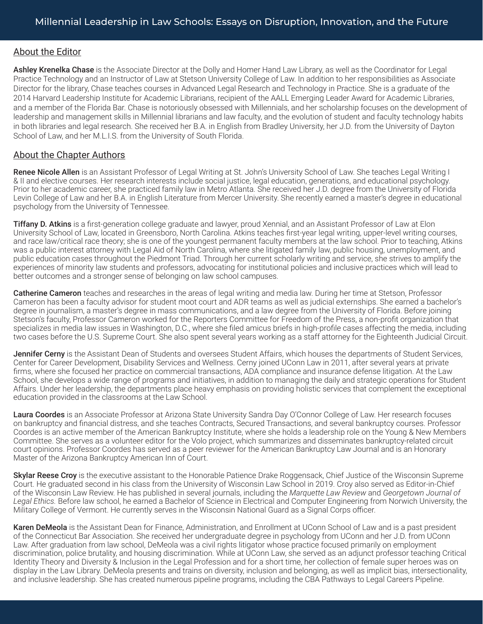## About the Editor

Ashley Krenelka Chase is the Associate Director at the Dolly and Homer Hand Law Library, as well as the Coordinator for Legal Practice Technology and an Instructor of Law at Stetson University College of Law. In addition to her responsibilities as Associate Director for the library, Chase teaches courses in Advanced Legal Research and Technology in Practice. She is a graduate of the 2014 Harvard Leadership Institute for Academic Librarians, recipient of the AALL Emerging Leader Award for Academic Libraries, and a member of the Florida Bar. Chase is notoriously obsessed with Millennials, and her scholarship focuses on the development of leadership and management skills in Millennial librarians and law faculty, and the evolution of student and faculty technology habits in both libraries and legal research. She received her B.A. in English from Bradley University, her J.D. from the University of Dayton School of Law, and her M.L.I.S. from the University of South Florida.

## About the Chapter Authors

Renee Nicole Allen is an Assistant Professor of Legal Writing at St. John's University School of Law. She teaches Legal Writing I & II and elective courses. Her research interests include social justice, legal education, generations, and educational psychology. Prior to her academic career, she practiced family law in Metro Atlanta. She received her J.D. degree from the University of Florida Levin College of Law and her B.A. in English Literature from Mercer University. She recently earned a master's degree in educational psychology from the University of Tennessee.

**Tiffany D. Atkins** is a first-generation college graduate and lawyer, proud Xennial, and an Assistant Professor of Law at Elon University School of Law, located in Greensboro, North Carolina. Atkins teaches first-year legal writing, upper-level writing courses, and race law/critical race theory; she is one of the youngest permanent faculty members at the law school. Prior to teaching, Atkins was a public interest attorney with Legal Aid of North Carolina, where she litigated family law, public housing, unemployment, and public education cases throughout the Piedmont Triad. Through her current scholarly writing and service, she strives to amplify the experiences of minority law students and professors, advocating for institutional policies and inclusive practices which will lead to better outcomes and a stronger sense of belonging on law school campuses.

Catherine Cameron teaches and researches in the areas of legal writing and media law. During her time at Stetson, Professor Cameron has been a faculty advisor for student moot court and ADR teams as well as judicial externships. She earned a bachelor's degree in journalism, a master's degree in mass communications, and a law degree from the University of Florida. Before joining Stetson's faculty, Professor Cameron worked for the Reporters Committee for Freedom of the Press, a non-profit organization that specializes in media law issues in Washington, D.C., where she filed amicus briefs in high-profile cases affecting the media, including two cases before the U.S. Supreme Court. She also spent several years working as a staff attorney for the Eighteenth Judicial Circuit.

Jennifer Cerny is the Assistant Dean of Students and oversees Student Affairs, which houses the departments of Student Services, Center for Career Development, Disability Services and Wellness. Cerny joined UConn Law in 2011, after several years at private firms, where she focused her practice on commercial transactions, ADA compliance and insurance defense litigation. At the Law School, she develops a wide range of programs and initiatives, in addition to managing the daily and strategic operations for Student Affairs. Under her leadership, the departments place heavy emphasis on providing holistic services that complement the exceptional education provided in the classrooms at the Law School.

Laura Coordes is an Associate Professor at Arizona State University Sandra Day O'Connor College of Law. Her research focuses on bankruptcy and financial distress, and she teaches Contracts, Secured Transactions, and several bankruptcy courses. Professor Coordes is an active member of the American Bankruptcy Institute, where she holds a leadership role on the Young & New Members Committee. She serves as a volunteer editor for the Volo project, which summarizes and disseminates bankruptcy-related circuit court opinions. Professor Coordes has served as a peer reviewer for the American Bankruptcy Law Journal and is an Honorary Master of the Arizona Bankruptcy American Inn of Court.

**Skylar Reese Croy** is the executive assistant to the Honorable Patience Drake Roggensack, Chief Justice of the Wisconsin Supreme Court. He graduated second in his class from the University of Wisconsin Law School in 2019. Croy also served as Editor-in-Chief of the Wisconsin Law Review. He has published in several journals, including the *Marquette Law Review* and *Georgetown Journal of Legal Ethics.* Before law school, he earned a Bachelor of Science in Electrical and Computer Engineering from Norwich University, the Military College of Vermont. He currently serves in the Wisconsin National Guard as a Signal Corps officer.

Karen DeMeola is the Assistant Dean for Finance, Administration, and Enrollment at UConn School of Law and is a past president of the Connecticut Bar Association. She received her undergraduate degree in psychology from UConn and her J.D. from UConn Law. After graduation from law school, DeMeola was a civil rights litigator whose practice focused primarily on employment discrimination, police brutality, and housing discrimination. While at UConn Law, she served as an adjunct professor teaching Critical Identity Theory and Diversity & Inclusion in the Legal Profession and for a short time, her collection of female super heroes was on display in the Law Library. DeMeola presents and trains on diversity, inclusion and belonging, as well as implicit bias, intersectionality, and inclusive leadership. She has created numerous pipeline programs, including the CBA Pathways to Legal Careers Pipeline.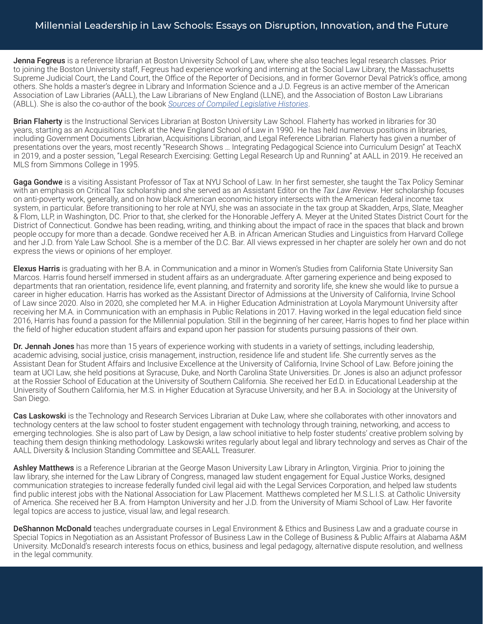## Millennial Leadership in Law Schools: Essays on Disruption, Innovation, and the Future

Jenna Fegreus is a reference librarian at Boston University School of Law, where she also teaches legal research classes. Prior to joining the Boston University staff, Fegreus had experience working and interning at the Social Law Library, the Massachusetts Supreme Judicial Court, the Land Court, the Office of the Reporter of Decisions, and in former Governor Deval Patrick's office, among others. She holds a master's degree in Library and Information Science and a J.D. Fegreus is an active member of the American Association of Law Libraries (AALL), the Law Librarians of New England (LLNE), and the Association of Boston Law Librarians (ABLL). She is also the co-author of the book *Sources of Compiled Legislative Histories*.

Brian Flaherty is the Instructional Services Librarian at Boston University Law School. Flaherty has worked in libraries for 30 years, starting as an Acquisitions Clerk at the New England School of Law in 1990. He has held numerous positions in libraries, including Government Documents Librarian, Acquisitions Librarian, and Legal Reference Librarian. Flaherty has given a number of presentations over the years, most recently "Research Shows … Integrating Pedagogical Science into Curriculum Design" at TeachX in 2019, and a poster session, "Legal Research Exercising: Getting Legal Research Up and Running" at AALL in 2019. He received an MLS from Simmons College in 1995.

Gaga Gondwe is a visiting Assistant Professor of Tax at NYU School of Law. In her first semester, she taught the Tax Policy Seminar with an emphasis on Critical Tax scholarship and she served as an Assistant Editor on the *Tax Law Review*. Her scholarship focuses on anti-poverty work, generally, and on how black American economic history intersects with the American federal income tax system, in particular. Before transitioning to her role at NYU, she was an associate in the tax group at Skadden, Arps, Slate, Meagher & Flom, LLP, in Washington, DC. Prior to that, she clerked for the Honorable Jeffery A. Meyer at the United States District Court for the District of Connecticut. Gondwe has been reading, writing, and thinking about the impact of race in the spaces that black and brown people occupy for more than a decade. Gondwe received her A.B. in African American Studies and Linguistics from Harvard College and her J.D. from Yale Law School. She is a member of the D.C. Bar. All views expressed in her chapter are solely her own and do not express the views or opinions of her employer.

Elexus Harris is graduating with her B.A. in Communication and a minor in Women's Studies from California State University San Marcos. Harris found herself immersed in student affairs as an undergraduate. After garnering experience and being exposed to departments that ran orientation, residence life, event planning, and fraternity and sorority life, she knew she would like to pursue a career in higher education. Harris has worked as the Assistant Director of Admissions at the University of California, Irvine School of Law since 2020. Also in 2020, she completed her M.A. in Higher Education Administration at Loyola Marymount University after receiving her M.A. in Communication with an emphasis in Public Relations in 2017. Having worked in the legal education field since 2016, Harris has found a passion for the Millennial population. Still in the beginning of her career, Harris hopes to find her place within the field of higher education student affairs and expand upon her passion for students pursuing passions of their own.

Dr. Jennah Jones has more than 15 years of experience working with students in a variety of settings, including leadership, academic advising, social justice, crisis management, instruction, residence life and student life. She currently serves as the Assistant Dean for Student Affairs and Inclusive Excellence at the University of California, Irvine School of Law. Before joining the team at UCI Law, she held positions at Syracuse, Duke, and North Carolina State Universities. Dr. Jones is also an adjunct professor at the Rossier School of Education at the University of Southern California. She received her Ed.D. in Educational Leadership at the University of Southern California, her M.S. in Higher Education at Syracuse University, and her B.A. in Sociology at the University of San Diego.

Cas Laskowski is the Technology and Research Services Librarian at Duke Law, where she collaborates with other innovators and technology centers at the law school to foster student engagement with technology through training, networking, and access to emerging technologies. She is also part of Law by Design, a law school initiative to help foster students' creative problem solving by teaching them design thinking methodology. Laskowski writes regularly about legal and library technology and serves as Chair of the AALL Diversity & Inclusion Standing Committee and SEAALL Treasurer.

Ashley Matthews is a Reference Librarian at the George Mason University Law Library in Arlington, Virginia. Prior to joining the law library, she interned for the Law Library of Congress, managed law student engagement for Equal Justice Works, designed communication strategies to increase federally funded civil legal aid with the Legal Services Corporation, and helped law students find public interest jobs with the National Association for Law Placement. Matthews completed her M.S.L.I.S. at Catholic University of America. She received her B.A. from Hampton University and her J.D. from the University of Miami School of Law. Her favorite legal topics are access to justice, visual law, and legal research.

DeShannon McDonald teaches undergraduate courses in Legal Environment & Ethics and Business Law and a graduate course in Special Topics in Negotiation as an Assistant Professor of Business Law in the College of Business & Public Affairs at Alabama A&M University. McDonald's research interests focus on ethics, business and legal pedagogy, alternative dispute resolution, and wellness in the legal community.